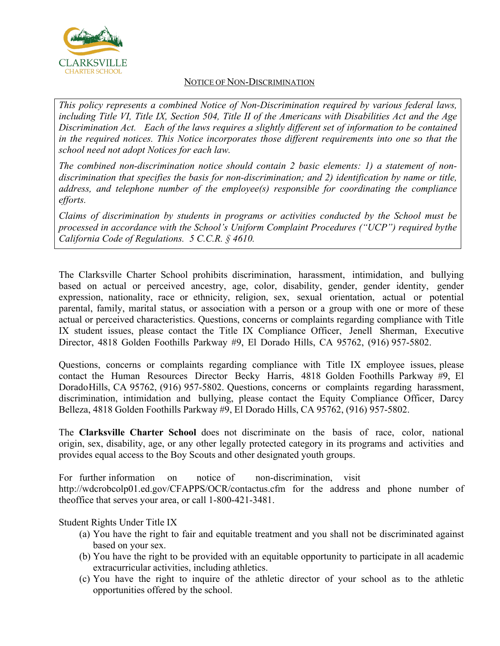

## NOTICE OF NON-DISCRIMINATION

*This policy represents a combined Notice of Non-Discrimination required by various federal laws,*  including Title VI, Title IX, Section 504, Title II of the Americans with Disabilities Act and the Age *Discrimination Act. Each of the laws requires a slightly different set of information to be contained in the required notices. This Notice incorporates those different requirements into one so that the school need not adopt Notices for each law.*

*The combined non-discrimination notice should contain 2 basic elements: 1) a statement of nondiscrimination that specifies the basis for non-discrimination; and 2) identification by name or title, address, and telephone number of the employee(s) responsible for coordinating the compliance efforts.*

*Claims of discrimination by students in programs or activities conducted by the School must be processed in accordance with the School's Uniform Complaint Procedures ("UCP") required bythe California Code of Regulations. 5 C.C.R. § 4610.*

The Clarksville Charter School prohibits discrimination, harassment, intimidation, and bullying based on actual or perceived ancestry, age, color, disability, gender, gender identity, gender expression, nationality, race or ethnicity, religion, sex, sexual orientation, actual or potential parental, family, marital status, or association with a person or a group with one or more of these actual or perceived characteristics. Questions, concerns or complaints regarding compliance with Title IX student issues, please contact the Title IX Compliance Officer, Jenell Sherman, Executive Director, 4818 Golden Foothills Parkway #9, El Dorado Hills, CA 95762, (916) 957-5802.

Questions, concerns or complaints regarding compliance with Title IX employee issues, please contact the Human Resources Director Becky Harris, 4818 Golden Foothills Parkway #9, El DoradoHills, CA 95762, (916) 957-5802. Questions, concerns or complaints regarding harassment, discrimination, intimidation and bullying, please contact the Equity Compliance Officer, Darcy Belleza, 4818 Golden Foothills Parkway #9, El Dorado Hills, CA 95762, (916) 957-5802.

The **Clarksville Charter School** does not discriminate on the basis of race, color, national origin, sex, disability, age, or any other legally protected category in its programs and activities and provides equal access to the Boy Scouts and other designated youth groups.

For further [information](http://wdcrobcolp01.ed.gov/CFAPPS/OCR/contactus.cfm) on notice of non-discrimination, visit <http://wdcrobcolp01.ed.gov/CFAPPS/OCR/contactus.cfm> for the address and phone number of theoffice that serves your area, or call 1-800-421-3481.

Student Rights Under Title IX

- (a) You have the right to fair and equitable treatment and you shall not be discriminated against based on your sex.
- (b) You have the right to be provided with an equitable opportunity to participate in all academic extracurricular activities, including athletics.
- (c) You have the right to inquire of the athletic director of your school as to the athletic opportunities offered by the school.